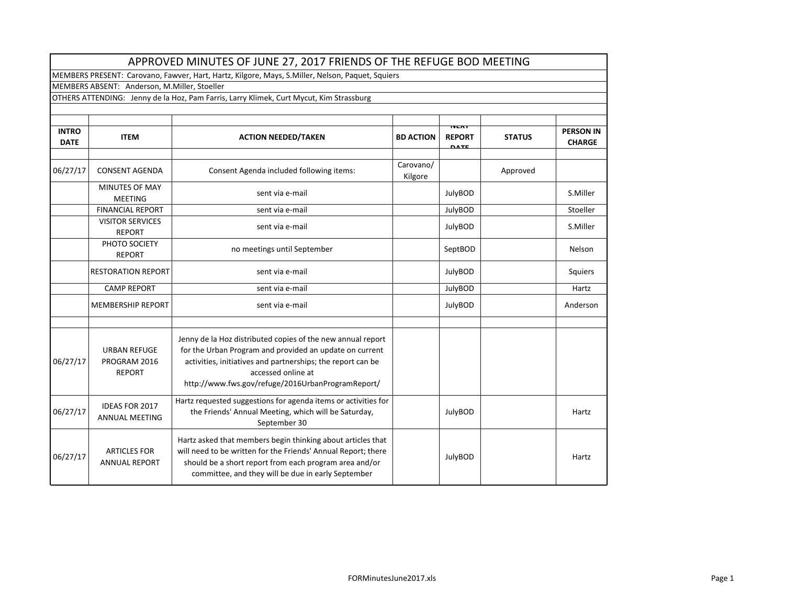|                             |                                                | APPROVED MINUTES OF JUNE 27, 2017 FRIENDS OF THE REFUGE BOD MEETING                                                                                                                                                                                              |                      |                                             |               |                                   |  |  |  |
|-----------------------------|------------------------------------------------|------------------------------------------------------------------------------------------------------------------------------------------------------------------------------------------------------------------------------------------------------------------|----------------------|---------------------------------------------|---------------|-----------------------------------|--|--|--|
|                             |                                                | MEMBERS PRESENT: Carovano, Fawver, Hart, Hartz, Kilgore, Mays, S.Miller, Nelson, Paquet, Squiers                                                                                                                                                                 |                      |                                             |               |                                   |  |  |  |
|                             | MEMBERS ABSENT: Anderson, M.Miller, Stoeller   |                                                                                                                                                                                                                                                                  |                      |                                             |               |                                   |  |  |  |
|                             |                                                | OTHERS ATTENDING: Jenny de la Hoz, Pam Farris, Larry Klimek, Curt Mycut, Kim Strassburg                                                                                                                                                                          |                      |                                             |               |                                   |  |  |  |
|                             |                                                |                                                                                                                                                                                                                                                                  |                      |                                             |               |                                   |  |  |  |
| <b>INTRO</b><br><b>DATE</b> | <b>ITEM</b>                                    | <b>ACTION NEEDED/TAKEN</b>                                                                                                                                                                                                                                       | <b>BD ACTION</b>     | <b>NEAT</b><br><b>REPORT</b><br><b>DATE</b> | <b>STATUS</b> | <b>PERSON IN</b><br><b>CHARGE</b> |  |  |  |
| 06/27/17                    | <b>CONSENT AGENDA</b>                          | Consent Agenda included following items:                                                                                                                                                                                                                         | Carovano/<br>Kilgore |                                             | Approved      |                                   |  |  |  |
|                             | MINUTES OF MAY<br><b>MEETING</b>               | sent via e-mail                                                                                                                                                                                                                                                  |                      | JulyBOD                                     |               | S.Miller                          |  |  |  |
|                             | <b>FINANCIAL REPORT</b>                        | sent via e-mail                                                                                                                                                                                                                                                  |                      | JulyBOD                                     |               | Stoeller                          |  |  |  |
|                             | <b>VISITOR SERVICES</b><br><b>REPORT</b>       | sent via e-mail                                                                                                                                                                                                                                                  |                      | JulyBOD                                     |               | S.Miller                          |  |  |  |
|                             | PHOTO SOCIETY<br><b>REPORT</b>                 | no meetings until September                                                                                                                                                                                                                                      |                      | SeptBOD                                     |               | Nelson                            |  |  |  |
|                             | <b>RESTORATION REPORT</b>                      | sent via e-mail                                                                                                                                                                                                                                                  |                      | JulyBOD                                     |               | Squiers                           |  |  |  |
|                             | <b>CAMP REPORT</b>                             | sent via e-mail                                                                                                                                                                                                                                                  |                      | JulyBOD                                     |               | Hartz                             |  |  |  |
|                             | <b>MEMBERSHIP REPORT</b>                       | sent via e-mail                                                                                                                                                                                                                                                  |                      | JulyBOD                                     |               | Anderson                          |  |  |  |
| 06/27/17                    | URBAN REFUGE<br>PROGRAM 2016<br><b>REPORT</b>  | Jenny de la Hoz distributed copies of the new annual report<br>for the Urban Program and provided an update on current<br>activities, initiatives and partnerships; the report can be<br>accessed online at<br>http://www.fws.gov/refuge/2016UrbanProgramReport/ |                      |                                             |               |                                   |  |  |  |
| 06/27/17                    | <b>IDEAS FOR 2017</b><br><b>ANNUAL MEETING</b> | Hartz requested suggestions for agenda items or activities for<br>the Friends' Annual Meeting, which will be Saturday,<br>September 30                                                                                                                           |                      | JulyBOD                                     |               | Hartz                             |  |  |  |
| 06/27/17                    | <b>ARTICLES FOR</b><br><b>ANNUAL REPORT</b>    | Hartz asked that members begin thinking about articles that<br>will need to be written for the Friends' Annual Report; there<br>should be a short report from each program area and/or<br>committee, and they will be due in early September                     |                      | JulyBOD                                     |               | Hartz                             |  |  |  |